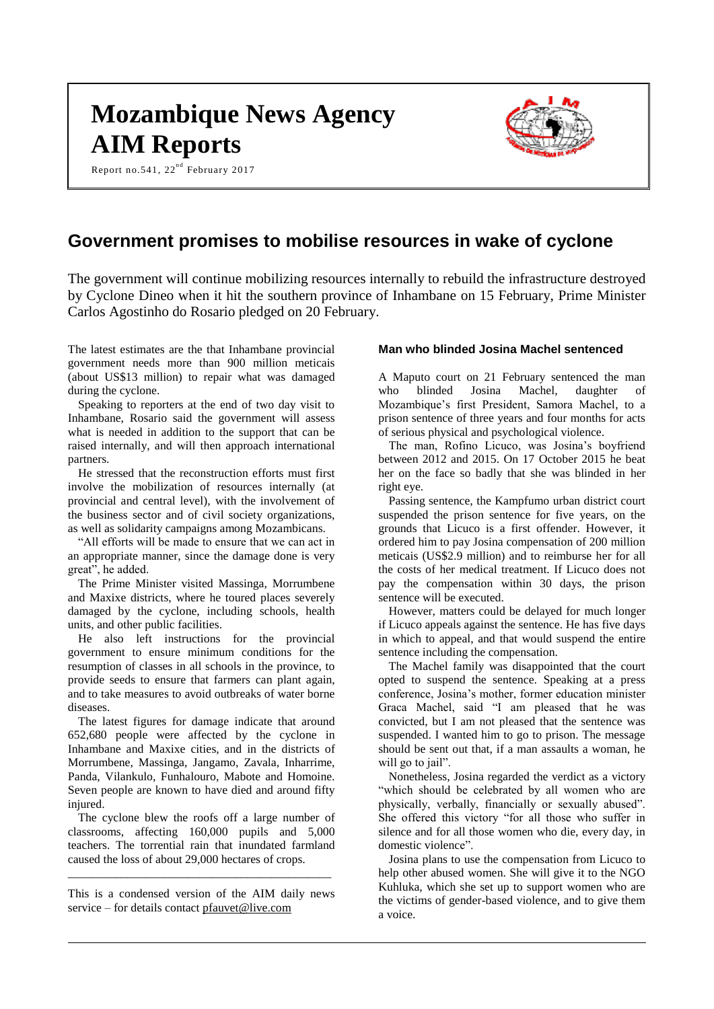# **Mozambique News Agency AIM Reports**

Report no.541,  $22^{nd}$  February 2017



# **Government promises to mobilise resources in wake of cyclone**

The government will continue mobilizing resources internally to rebuild the infrastructure destroyed by Cyclone Dineo when it hit the southern province of Inhambane on 15 February, Prime Minister Carlos Agostinho do Rosario pledged on 20 February.

The latest estimates are the that Inhambane provincial government needs more than 900 million meticais (about US\$13 million) to repair what was damaged during the cyclone.

Speaking to reporters at the end of two day visit to Inhambane, Rosario said the government will assess what is needed in addition to the support that can be raised internally, and will then approach international partners.

He stressed that the reconstruction efforts must first involve the mobilization of resources internally (at provincial and central level), with the involvement of the business sector and of civil society organizations, as well as solidarity campaigns among Mozambicans.

"All efforts will be made to ensure that we can act in an appropriate manner, since the damage done is very great", he added.

The Prime Minister visited Massinga, Morrumbene and Maxixe districts, where he toured places severely damaged by the cyclone, including schools, health units, and other public facilities.

He also left instructions for the provincial government to ensure minimum conditions for the resumption of classes in all schools in the province, to provide seeds to ensure that farmers can plant again, and to take measures to avoid outbreaks of water borne diseases.

The latest figures for damage indicate that around 652,680 people were affected by the cyclone in Inhambane and Maxixe cities, and in the districts of Morrumbene, Massinga, Jangamo, Zavala, Inharrime, Panda, Vilankulo, Funhalouro, Mabote and Homoine. Seven people are known to have died and around fifty injured.

The cyclone blew the roofs off a large number of classrooms, affecting 160,000 pupils and 5,000 teachers. The torrential rain that inundated farmland caused the loss of about 29,000 hectares of crops.

This is a condensed version of the AIM daily news service – for details contact [pfauvet@live.com](mailto:pfauvet@live.com)

\_\_\_\_\_\_\_\_\_\_\_\_\_\_\_\_\_\_\_\_\_\_\_\_\_\_\_\_\_\_\_\_\_\_\_\_\_\_\_\_\_\_\_\_

#### **Man who blinded Josina Machel sentenced**

A Maputo court on 21 February sentenced the man who blinded Josina Machel, daughter of Mozambique's first President, Samora Machel, to a prison sentence of three years and four months for acts of serious physical and psychological violence.

The man, Rofino Licuco, was Josina's boyfriend between 2012 and 2015. On 17 October 2015 he beat her on the face so badly that she was blinded in her right eye.

Passing sentence, the Kampfumo urban district court suspended the prison sentence for five years, on the grounds that Licuco is a first offender. However, it ordered him to pay Josina compensation of 200 million meticais (US\$2.9 million) and to reimburse her for all the costs of her medical treatment. If Licuco does not pay the compensation within 30 days, the prison sentence will be executed.

However, matters could be delayed for much longer if Licuco appeals against the sentence. He has five days in which to appeal, and that would suspend the entire sentence including the compensation.

The Machel family was disappointed that the court opted to suspend the sentence. Speaking at a press conference, Josina's mother, former education minister Graca Machel, said "I am pleased that he was convicted, but I am not pleased that the sentence was suspended. I wanted him to go to prison. The message should be sent out that, if a man assaults a woman, he will go to jail".

Nonetheless, Josina regarded the verdict as a victory "which should be celebrated by all women who are physically, verbally, financially or sexually abused". She offered this victory "for all those who suffer in silence and for all those women who die, every day, in domestic violence".

Josina plans to use the compensation from Licuco to help other abused women. She will give it to the NGO Kuhluka, which she set up to support women who are the victims of gender-based violence, and to give them a voice.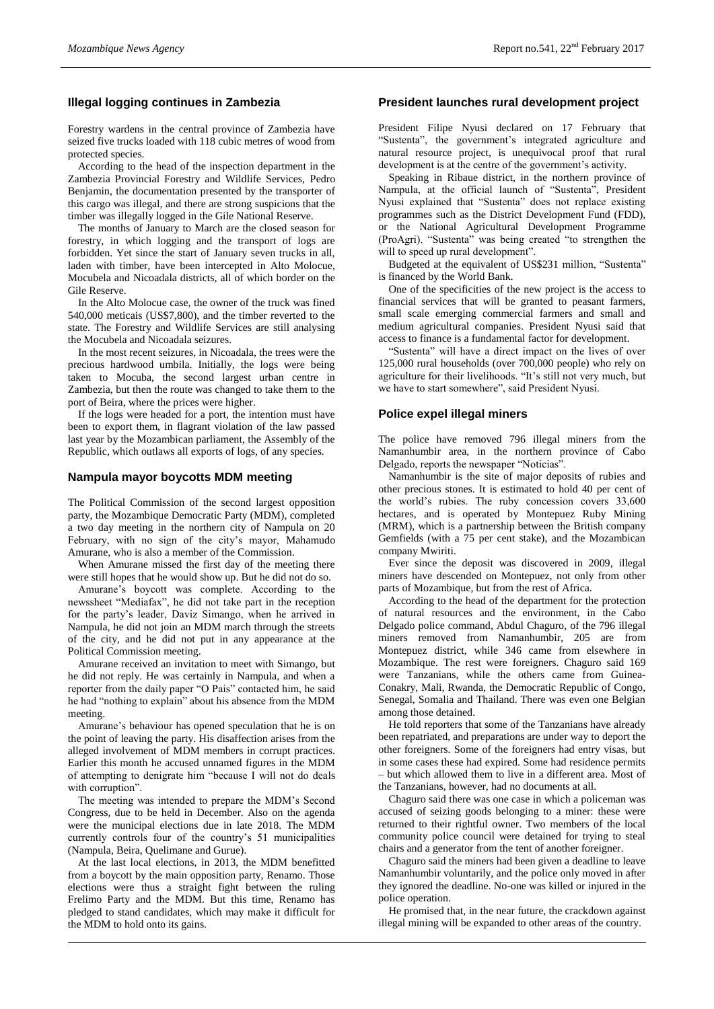# **Illegal logging continues in Zambezia**

Forestry wardens in the central province of Zambezia have seized five trucks loaded with 118 cubic metres of wood from protected species.

According to the head of the inspection department in the Zambezia Provincial Forestry and Wildlife Services, Pedro Benjamin, the documentation presented by the transporter of this cargo was illegal, and there are strong suspicions that the timber was illegally logged in the Gile National Reserve.

The months of January to March are the closed season for forestry, in which logging and the transport of logs are forbidden. Yet since the start of January seven trucks in all, laden with timber, have been intercepted in Alto Molocue, Mocubela and Nicoadala districts, all of which border on the Gile Reserve.

In the Alto Molocue case, the owner of the truck was fined 540,000 meticais (US\$7,800), and the timber reverted to the state. The Forestry and Wildlife Services are still analysing the Mocubela and Nicoadala seizures.

In the most recent seizures, in Nicoadala, the trees were the precious hardwood umbila. Initially, the logs were being taken to Mocuba, the second largest urban centre in Zambezia, but then the route was changed to take them to the port of Beira, where the prices were higher.

If the logs were headed for a port, the intention must have been to export them, in flagrant violation of the law passed last year by the Mozambican parliament, the Assembly of the Republic, which outlaws all exports of logs, of any species.

#### **Nampula mayor boycotts MDM meeting**

The Political Commission of the second largest opposition party, the Mozambique Democratic Party (MDM), completed a two day meeting in the northern city of Nampula on 20 February, with no sign of the city's mayor, Mahamudo Amurane, who is also a member of the Commission.

When Amurane missed the first day of the meeting there were still hopes that he would show up. But he did not do so.

Amurane's boycott was complete. According to the newssheet "Mediafax", he did not take part in the reception for the party's leader, Daviz Simango, when he arrived in Nampula, he did not join an MDM march through the streets of the city, and he did not put in any appearance at the Political Commission meeting.

Amurane received an invitation to meet with Simango, but he did not reply. He was certainly in Nampula, and when a reporter from the daily paper "O Pais" contacted him, he said he had "nothing to explain" about his absence from the MDM meeting.

Amurane's behaviour has opened speculation that he is on the point of leaving the party. His disaffection arises from the alleged involvement of MDM members in corrupt practices. Earlier this month he accused unnamed figures in the MDM of attempting to denigrate him "because I will not do deals with corruption".

The meeting was intended to prepare the MDM's Second Congress, due to be held in December. Also on the agenda were the municipal elections due in late 2018. The MDM currently controls four of the country's 51 municipalities (Nampula, Beira, Quelimane and Gurue).

At the last local elections, in 2013, the MDM benefitted from a boycott by the main opposition party, Renamo. Those elections were thus a straight fight between the ruling Frelimo Party and the MDM. But this time, Renamo has pledged to stand candidates, which may make it difficult for the MDM to hold onto its gains.

#### **President launches rural development project**

President Filipe Nyusi declared on 17 February that "Sustenta", the government's integrated agriculture and natural resource project, is unequivocal proof that rural development is at the centre of the government's activity.

Speaking in Ribaue district, in the northern province of Nampula, at the official launch of "Sustenta", President Nyusi explained that "Sustenta" does not replace existing programmes such as the District Development Fund (FDD), or the National Agricultural Development Programme (ProAgri). "Sustenta" was being created "to strengthen the will to speed up rural development".

Budgeted at the equivalent of US\$231 million, "Sustenta" is financed by the World Bank.

One of the specificities of the new project is the access to financial services that will be granted to peasant farmers, small scale emerging commercial farmers and small and medium agricultural companies. President Nyusi said that access to finance is a fundamental factor for development.

"Sustenta" will have a direct impact on the lives of over 125,000 rural households (over 700,000 people) who rely on agriculture for their livelihoods. "It's still not very much, but we have to start somewhere", said President Nyusi.

#### **Police expel illegal miners**

The police have removed 796 illegal miners from the Namanhumbir area, in the northern province of Cabo Delgado, reports the newspaper "Noticias".

Namanhumbir is the site of major deposits of rubies and other precious stones. It is estimated to hold 40 per cent of the world's rubies. The ruby concession covers 33,600 hectares, and is operated by Montepuez Ruby Mining (MRM), which is a partnership between the British company Gemfields (with a 75 per cent stake), and the Mozambican company Mwiriti.

Ever since the deposit was discovered in 2009, illegal miners have descended on Montepuez, not only from other parts of Mozambique, but from the rest of Africa.

According to the head of the department for the protection of natural resources and the environment, in the Cabo Delgado police command, Abdul Chaguro, of the 796 illegal miners removed from Namanhumbir, 205 are from Montepuez district, while 346 came from elsewhere in Mozambique. The rest were foreigners. Chaguro said 169 were Tanzanians, while the others came from Guinea-Conakry, Mali, Rwanda, the Democratic Republic of Congo, Senegal, Somalia and Thailand. There was even one Belgian among those detained.

He told reporters that some of the Tanzanians have already been repatriated, and preparations are under way to deport the other foreigners. Some of the foreigners had entry visas, but in some cases these had expired. Some had residence permits – but which allowed them to live in a different area. Most of the Tanzanians, however, had no documents at all.

Chaguro said there was one case in which a policeman was accused of seizing goods belonging to a miner: these were returned to their rightful owner. Two members of the local community police council were detained for trying to steal chairs and a generator from the tent of another foreigner.

Chaguro said the miners had been given a deadline to leave Namanhumbir voluntarily, and the police only moved in after they ignored the deadline. No-one was killed or injured in the police operation.

He promised that, in the near future, the crackdown against illegal mining will be expanded to other areas of the country.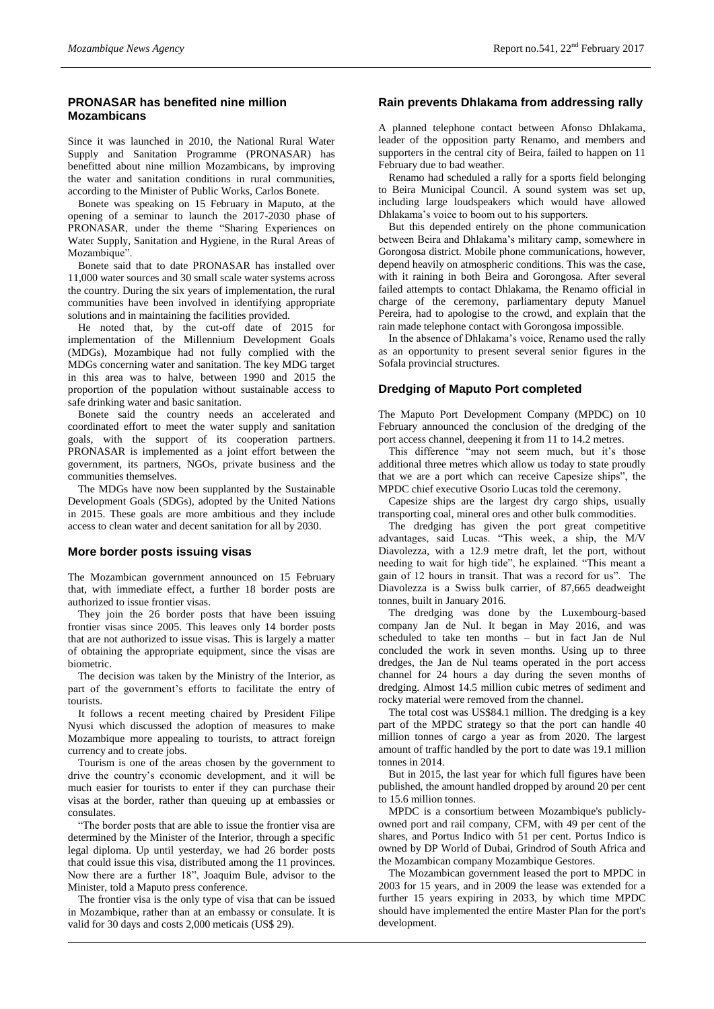# **PRONASAR has benefited nine million Mozambicans**

Since it was launched in 2010, the National Rural Water Supply and Sanitation Programme (PRONASAR) has benefitted about nine million Mozambicans, by improving the water and sanitation conditions in rural communities, according to the Minister of Public Works, Carlos Bonete.

Bonete was speaking on 15 February in Maputo, at the opening of a seminar to launch the 2017-2030 phase of PRONASAR, under the theme "Sharing Experiences on Water Supply, Sanitation and Hygiene, in the Rural Areas of Mozambique".

Bonete said that to date PRONASAR has installed over 11,000 water sources and 30 small scale water systems across the country. During the six years of implementation, the rural communities have been involved in identifying appropriate solutions and in maintaining the facilities provided.

He noted that, by the cut-off date of 2015 for implementation of the Millennium Development Goals (MDGs), Mozambique had not fully complied with the MDGs concerning water and sanitation. The key MDG target in this area was to halve, between 1990 and 2015 the proportion of the population without sustainable access to safe drinking water and basic sanitation.

Bonete said the country needs an accelerated and coordinated effort to meet the water supply and sanitation goals, with the support of its cooperation partners. PRONASAR is implemented as a joint effort between the government, its partners, NGOs, private business and the communities themselves.

The MDGs have now been supplanted by the Sustainable Development Goals (SDGs), adopted by the United Nations in 2015. These goals are more ambitious and they include access to clean water and decent sanitation for all by 2030.

#### **More border posts issuing visas**

The Mozambican government announced on 15 February that, with immediate effect, a further 18 border posts are authorized to issue frontier visas.

They join the 26 border posts that have been issuing frontier visas since 2005. This leaves only 14 border posts that are not authorized to issue visas. This is largely a matter of obtaining the appropriate equipment, since the visas are biometric.

The decision was taken by the Ministry of the Interior, as part of the government's efforts to facilitate the entry of tourists.

It follows a recent meeting chaired by President Filipe Nyusi which discussed the adoption of measures to make Mozambique more appealing to tourists, to attract foreign currency and to create jobs.

Tourism is one of the areas chosen by the government to drive the country's economic development, and it will be much easier for tourists to enter if they can purchase their visas at the border, rather than queuing up at embassies or consulates.

"The border posts that are able to issue the frontier visa are determined by the Minister of the Interior, through a specific legal diploma. Up until yesterday, we had 26 border posts that could issue this visa, distributed among the 11 provinces. Now there are a further 18", Joaquim Bule, advisor to the Minister, told a Maputo press conference.

The frontier visa is the only type of visa that can be issued in Mozambique, rather than at an embassy or consulate. It is valid for 30 days and costs 2,000 meticais (US\$ 29).

# **Rain prevents Dhlakama from addressing rally**

A planned telephone contact between Afonso Dhlakama, leader of the opposition party Renamo, and members and supporters in the central city of Beira, failed to happen on 11 February due to bad weather.

Renamo had scheduled a rally for a sports field belonging to Beira Municipal Council. A sound system was set up, including large loudspeakers which would have allowed Dhlakama's voice to boom out to his supporters.

But this depended entirely on the phone communication between Beira and Dhlakama's military camp, somewhere in Gorongosa district. Mobile phone communications, however, depend heavily on atmospheric conditions. This was the case, with it raining in both Beira and Gorongosa. After several failed attempts to contact Dhlakama, the Renamo official in charge of the ceremony, parliamentary deputy Manuel Pereira, had to apologise to the crowd, and explain that the rain made telephone contact with Gorongosa impossible.

In the absence of Dhlakama's voice, Renamo used the rally as an opportunity to present several senior figures in the Sofala provincial structures.

# **Dredging of Maputo Port completed**

The Maputo Port Development Company (MPDC) on 10 February announced the conclusion of the dredging of the port access channel, deepening it from 11 to 14.2 metres.

This difference "may not seem much, but it's those additional three metres which allow us today to state proudly that we are a port which can receive Capesize ships", the MPDC chief executive Osorio Lucas told the ceremony.

Capesize ships are the largest dry cargo ships, usually transporting coal, mineral ores and other bulk commodities.

The dredging has given the port great competitive advantages, said Lucas. "This week, a ship, the M/V Diavolezza, with a 12.9 metre draft, let the port, without needing to wait for high tide", he explained. "This meant a gain of 12 hours in transit. That was a record for us". The Diavolezza is a Swiss bulk carrier, of 87,665 deadweight tonnes, built in January 2016.

The dredging was done by the Luxembourg-based company Jan de Nul. It began in May 2016, and was scheduled to take ten months – but in fact Jan de Nul concluded the work in seven months. Using up to three dredges, the Jan de Nul teams operated in the port access channel for 24 hours a day during the seven months of dredging. Almost 14.5 million cubic metres of sediment and rocky material were removed from the channel.

The total cost was US\$84.1 million. The dredging is a key part of the MPDC strategy so that the port can handle 40 million tonnes of cargo a year as from 2020. The largest amount of traffic handled by the port to date was 19.1 million tonnes in 2014.

But in 2015, the last year for which full figures have been published, the amount handled dropped by around 20 per cent to 15.6 million tonnes.

MPDC is a consortium between Mozambique's publiclyowned port and rail company, CFM, with 49 per cent of the shares, and Portus Indico with 51 per cent. Portus Indico is owned by DP World of Dubai, Grindrod of South Africa and the Mozambican company Mozambique Gestores.

The Mozambican government leased the port to MPDC in 2003 for 15 years, and in 2009 the lease was extended for a further 15 years expiring in 2033, by which time MPDC should have implemented the entire Master Plan for the port's development.